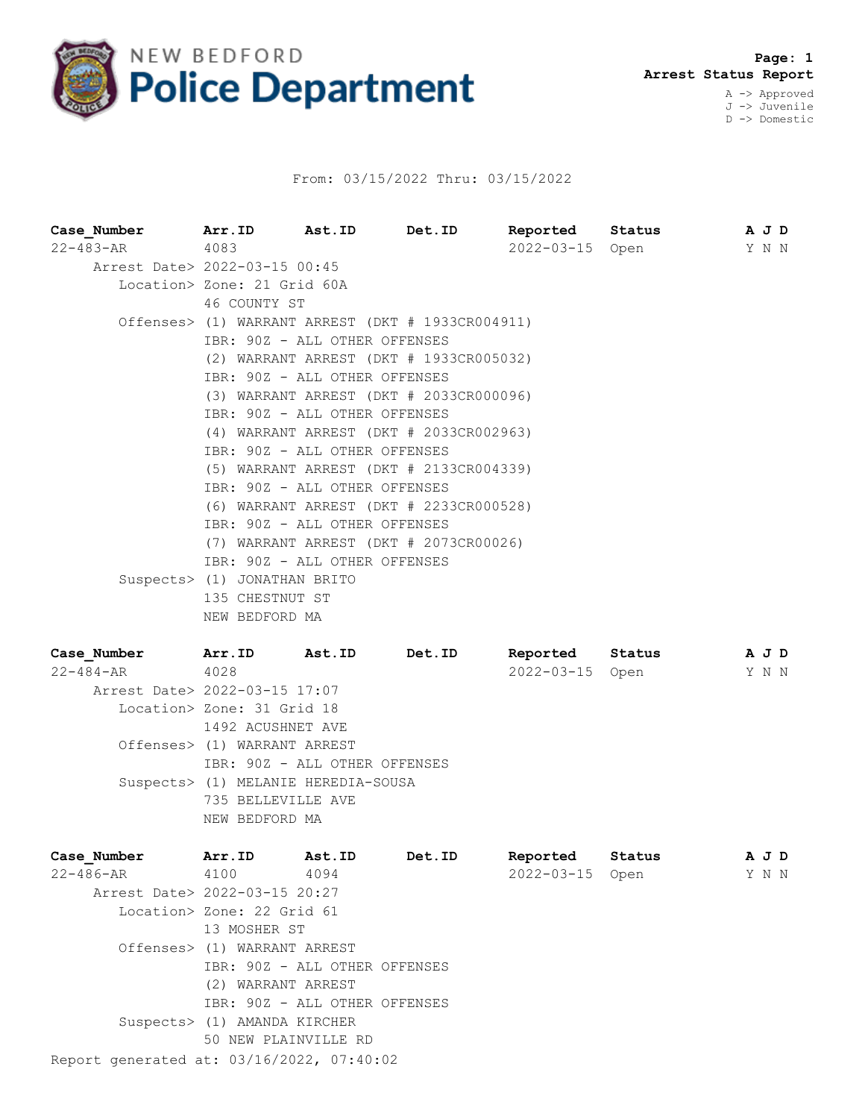

## From: 03/15/2022 Thru: 03/15/2022

| Case Number          | Arr.ID Ast.ID                                     |        | Det.ID |                 | Reported Status     | A J D |  |  |  |  |
|----------------------|---------------------------------------------------|--------|--------|-----------------|---------------------|-------|--|--|--|--|
| $22 - 483 - AR$      | 4083                                              |        |        | 2022-03-15 Open |                     | Y N N |  |  |  |  |
|                      | Arrest Date> 2022-03-15 00:45                     |        |        |                 |                     |       |  |  |  |  |
|                      | Location> Zone: 21 Grid 60A                       |        |        |                 |                     |       |  |  |  |  |
|                      | 46 COUNTY ST                                      |        |        |                 |                     |       |  |  |  |  |
|                      | Offenses> (1) WARRANT ARREST (DKT # 1933CR004911) |        |        |                 |                     |       |  |  |  |  |
|                      | IBR: 90Z - ALL OTHER OFFENSES                     |        |        |                 |                     |       |  |  |  |  |
|                      | (2) WARRANT ARREST (DKT # 1933CR005032)           |        |        |                 |                     |       |  |  |  |  |
|                      | IBR: 90Z - ALL OTHER OFFENSES                     |        |        |                 |                     |       |  |  |  |  |
|                      | (3) WARRANT ARREST (DKT # 2033CR000096)           |        |        |                 |                     |       |  |  |  |  |
|                      | IBR: 90Z - ALL OTHER OFFENSES                     |        |        |                 |                     |       |  |  |  |  |
|                      | (4) WARRANT ARREST (DKT # 2033CR002963)           |        |        |                 |                     |       |  |  |  |  |
|                      | IBR: 90Z - ALL OTHER OFFENSES                     |        |        |                 |                     |       |  |  |  |  |
|                      | (5) WARRANT ARREST (DKT # 2133CR004339)           |        |        |                 |                     |       |  |  |  |  |
|                      | IBR: 90Z - ALL OTHER OFFENSES                     |        |        |                 |                     |       |  |  |  |  |
|                      | (6) WARRANT ARREST (DKT # 2233CR000528)           |        |        |                 |                     |       |  |  |  |  |
|                      | IBR: 90Z - ALL OTHER OFFENSES                     |        |        |                 |                     |       |  |  |  |  |
|                      | (7) WARRANT ARREST (DKT # 2073CR00026)            |        |        |                 |                     |       |  |  |  |  |
|                      | IBR: 90Z - ALL OTHER OFFENSES                     |        |        |                 |                     |       |  |  |  |  |
|                      | Suspects> (1) JONATHAN BRITO                      |        |        |                 |                     |       |  |  |  |  |
|                      | 135 CHESTNUT ST                                   |        |        |                 |                     |       |  |  |  |  |
|                      | NEW BEDFORD MA                                    |        |        |                 |                     |       |  |  |  |  |
| Case Number Arr.ID   |                                                   | Ast.ID | Det.ID |                 | Reported Status AJD |       |  |  |  |  |
| $22 - 484 - AR$ 4028 |                                                   |        |        | 2022-03-15 Open |                     | Y N N |  |  |  |  |
|                      | Arrest Date> 2022-03-15 17:07                     |        |        |                 |                     |       |  |  |  |  |
|                      | Location> Zone: 31 Grid 18                        |        |        |                 |                     |       |  |  |  |  |

1492 ACUSHNET AVE Offenses> (1) WARRANT ARREST IBR: 90Z - ALL OTHER OFFENSES Suspects> (1) MELANIE HEREDIA-SOUSA 735 BELLEVILLE AVE NEW BEDFORD MA

| Case Number                               | Arr.ID                                                        | Ast.ID | Det.ID | Reported   | Status | A J D |  |  |  |
|-------------------------------------------|---------------------------------------------------------------|--------|--------|------------|--------|-------|--|--|--|
| 22-486-AR                                 | 4100                                                          | 4094   |        | 2022-03-15 | Open   | Y N N |  |  |  |
| Arrest Date> 2022-03-15 20:27             |                                                               |        |        |            |        |       |  |  |  |
|                                           | Location> Zone: 22 Grid 61                                    |        |        |            |        |       |  |  |  |
|                                           | 13 MOSHER ST                                                  |        |        |            |        |       |  |  |  |
|                                           | Offenses> (1) WARRANT ARREST<br>IBR: 90Z - ALL OTHER OFFENSES |        |        |            |        |       |  |  |  |
|                                           |                                                               |        |        |            |        |       |  |  |  |
|                                           | (2) WARRANT ARREST                                            |        |        |            |        |       |  |  |  |
|                                           | IBR: 90Z - ALL OTHER OFFENSES                                 |        |        |            |        |       |  |  |  |
|                                           | Suspects> (1) AMANDA KIRCHER                                  |        |        |            |        |       |  |  |  |
|                                           | 50 NEW PLAINVILLE RD                                          |        |        |            |        |       |  |  |  |
| Report generated at: 03/16/2022, 07:40:02 |                                                               |        |        |            |        |       |  |  |  |